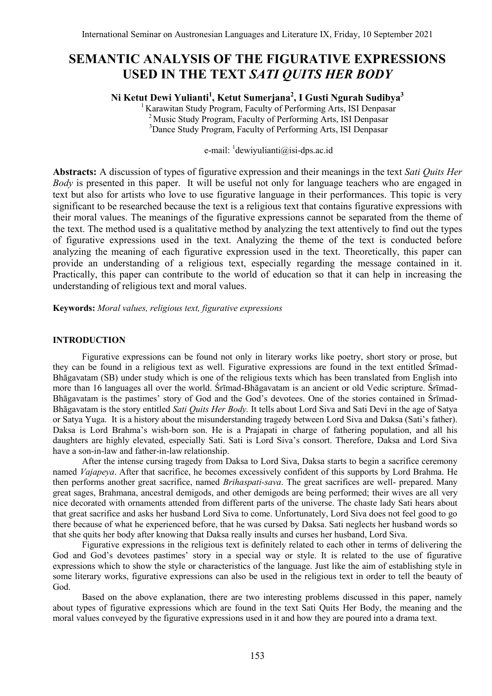# **SEMANTIC ANALYSIS OF THE FIGURATIVE EXPRESSIONS USED IN THE TEXT** *SATI QUITS HER BODY*

**Ni Ketut Dewi Yulianti<sup>1</sup> , Ketut Sumerjana<sup>2</sup> , I Gusti Ngurah Sudibya<sup>3</sup>**

<sup>1</sup>Karawitan Study Program, Faculty of Performing Arts, ISI Denpasar <sup>2</sup> Music Study Program, Faculty of Performing Arts, ISI Denpasar <sup>3</sup>Dance Study Program, Faculty of Performing Arts, ISI Denpasar

# e-mail: dewiyulianti@isi-dps.ac.id

**Abstracts:** A discussion of types of figurative expression and their meanings in the text *Sati Quits Her Body* is presented in this paper. It will be useful not only for language teachers who are engaged in text but also for artists who love to use figurative language in their performances. This topic is very significant to be researched because the text is a religious text that contains figurative expressions with their moral values. The meanings of the figurative expressions cannot be separated from the theme of the text. The method used is a qualitative method by analyzing the text attentively to find out the types of figurative expressions used in the text. Analyzing the theme of the text is conducted before analyzing the meaning of each figurative expression used in the text. Theoretically, this paper can provide an understanding of a religious text, especially regarding the message contained in it. Practically, this paper can contribute to the world of education so that it can help in increasing the understanding of religious text and moral values.

**Keywords:** *Moral values, religious text, figurative expressions*

### **INTRODUCTION**

Figurative expressions can be found not only in literary works like poetry, short story or prose, but they can be found in a religious text as well. Figurative expressions are found in the text entitled Śrīmad-Bhāgavatam (SB) under study which is one of the religious texts which has been translated from English into more than 16 languages all over the world. Śrīmad-Bhāgavatam is an ancient or old Vedic scripture. Śrīmad-Bhāgavatam is the pastimes' story of God and the God's devotees. One of the stories contained in Śrīmad-Bhāgavatam is the story entitled *Sati Quits Her Body.* It tells about Lord Siva and Sati Devi in the age of Satya or Satya Yuga. It is a history about the misunderstanding tragedy between Lord Siva and Daksa (Sati"s father). Daksa is Lord Brahma's wish-born son. He is a Prajapati in charge of fathering population, and all his daughters are highly elevated, especially Sati. Sati is Lord Siva"s consort. Therefore, Daksa and Lord Siva have a son-in-law and father-in-law relationship.

After the intense cursing tragedy from Daksa to Lord Siva, Daksa starts to begin a sacrifice ceremony named *Vajapeya*. After that sacrifice, he becomes excessively confident of this supports by Lord Brahma. He then performs another great sacrifice, named *Brihaspati-sava*. The great sacrifices are well- prepared. Many great sages, Brahmana, ancestral demigods, and other demigods are being performed; their wives are all very nice decorated with ornaments attended from different parts of the universe. The chaste lady Sati hears about that great sacrifice and asks her husband Lord Siva to come. Unfortunately, Lord Siva does not feel good to go there because of what he experienced before, that he was cursed by Daksa. Sati neglects her husband words so that she quits her body after knowing that Daksa really insults and curses her husband, Lord Siva.

Figurative expressions in the religious text is definitely related to each other in terms of delivering the God and God's devotees pastimes' story in a special way or style. It is related to the use of figurative expressions which to show the style or characteristics of the language. Just like the aim of establishing style in some literary works, figurative expressions can also be used in the religious text in order to tell the beauty of God.

Based on the above explanation, there are two interesting problems discussed in this paper, namely about types of figurative expressions which are found in the text Sati Quits Her Body, the meaning and the moral values conveyed by the figurative expressions used in it and how they are poured into a drama text.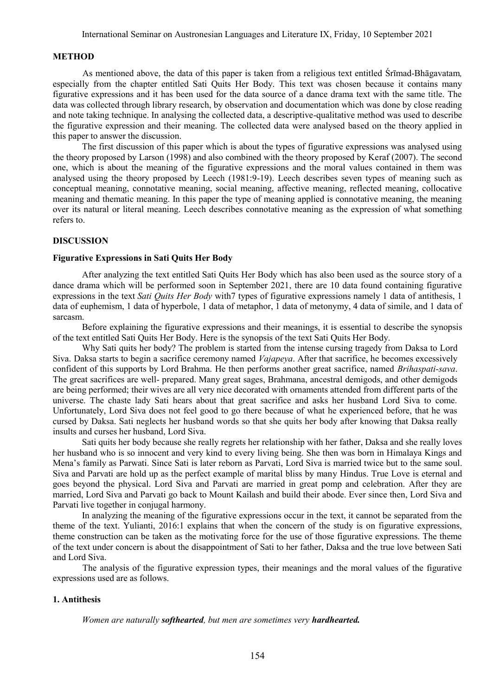### **METHOD**

As mentioned above, the data of this paper is taken from a religious text entitled Śrīmad-Bhāgavatam*,*  especially from the chapter entitled Sati Quits Her Body. This text was chosen because it contains many figurative expressions and it has been used for the data source of a dance drama text with the same title. The data was collected through library research, by observation and documentation which was done by close reading and note taking technique. In analysing the collected data, a descriptive-qualitative method was used to describe the figurative expression and their meaning. The collected data were analysed based on the theory applied in this paper to answer the discussion.

The first discussion of this paper which is about the types of figurative expressions was analysed using the theory proposed by Larson (1998) and also combined with the theory proposed by Keraf (2007). The second one, which is about the meaning of the figurative expressions and the moral values contained in them was analysed using the theory proposed by Leech (1981:9-19). Leech describes seven types of meaning such as conceptual meaning, connotative meaning, social meaning, affective meaning, reflected meaning, collocative meaning and thematic meaning. In this paper the type of meaning applied is connotative meaning, the meaning over its natural or literal meaning. Leech describes connotative meaning as the expression of what something refers to.

# **DISCUSSION**

# **Figurative Expressions in Sati Quits Her Body**

After analyzing the text entitled Sati Quits Her Body which has also been used as the source story of a dance drama which will be performed soon in September 2021, there are 10 data found containing figurative expressions in the text *Sati Quits Her Body* with7 types of figurative expressions namely 1 data of antithesis, 1 data of euphemism, 1 data of hyperbole, 1 data of metaphor, 1 data of metonymy, 4 data of simile, and 1 data of sarcasm.

Before explaining the figurative expressions and their meanings, it is essential to describe the synopsis of the text entitled Sati Quits Her Body. Here is the synopsis of the text Sati Quits Her Body.

Why Sati quits her body? The problem is started from the intense cursing tragedy from Daksa to Lord Siva. Daksa starts to begin a sacrifice ceremony named *Vajapeya*. After that sacrifice, he becomes excessively confident of this supports by Lord Brahma. He then performs another great sacrifice, named *Brihaspati-sava*. The great sacrifices are well- prepared. Many great sages, Brahmana, ancestral demigods, and other demigods are being performed; their wives are all very nice decorated with ornaments attended from different parts of the universe. The chaste lady Sati hears about that great sacrifice and asks her husband Lord Siva to come. Unfortunately, Lord Siva does not feel good to go there because of what he experienced before, that he was cursed by Daksa. Sati neglects her husband words so that she quits her body after knowing that Daksa really insults and curses her husband, Lord Siva.

Sati quits her body because she really regrets her relationship with her father, Daksa and she really loves her husband who is so innocent and very kind to every living being. She then was born in Himalaya Kings and Mena"s family as Parwati. Since Sati is later reborn as Parvati, Lord Siva is married twice but to the same soul. Siva and Parvati are hold up as the perfect example of marital bliss by many Hindus. True Love is eternal and goes beyond the physical. Lord Siva and Parvati are married in great pomp and celebration. After they are married, Lord Siva and Parvati go back to Mount Kailash and build their abode. Ever since then, Lord Siva and Parvati live together in conjugal harmony.

In analyzing the meaning of the figurative expressions occur in the text, it cannot be separated from the theme of the text. Yulianti, 2016:1 explains that when the concern of the study is on figurative expressions, theme construction can be taken as the motivating force for the use of those figurative expressions. The theme of the text under concern is about the disappointment of Sati to her father, Daksa and the true love between Sati and Lord Siva.

The analysis of the figurative expression types, their meanings and the moral values of the figurative expressions used are as follows.

# **1. Antithesis**

*Women are naturally softhearted, but men are sometimes very hardhearted.*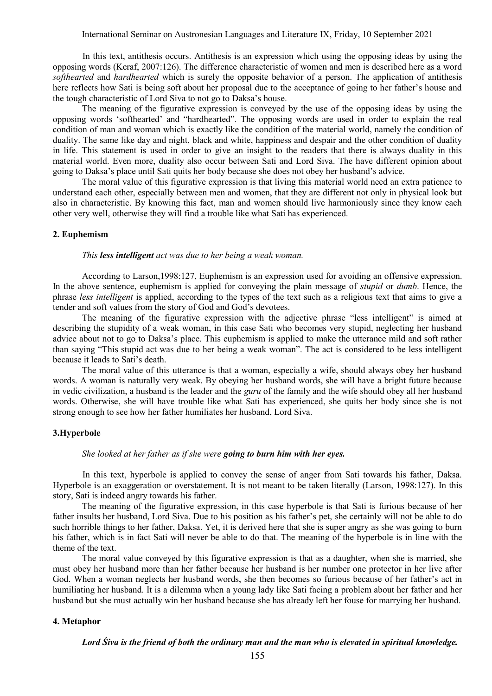In this text, antithesis occurs. Antithesis is an expression which using the opposing ideas by using the opposing words (Keraf, 2007:126). The difference characteristic of women and men is described here as a word *softhearted* and *hardhearted* which is surely the opposite behavior of a person. The application of antithesis here reflects how Sati is being soft about her proposal due to the acceptance of going to her father's house and the tough characteristic of Lord Siva to not go to Daksa"s house.

The meaning of the figurative expression is conveyed by the use of the opposing ideas by using the opposing words "softhearted" and "hardhearted". The opposing words are used in order to explain the real condition of man and woman which is exactly like the condition of the material world, namely the condition of duality. The same like day and night, black and white, happiness and despair and the other condition of duality in life. This statement is used in order to give an insight to the readers that there is always duality in this material world. Even more, duality also occur between Sati and Lord Siva. The have different opinion about going to Daksa"s place until Sati quits her body because she does not obey her husband"s advice.

The moral value of this figurative expression is that living this material world need an extra patience to understand each other, especially between men and women, that they are different not only in physical look but also in characteristic. By knowing this fact, man and women should live harmoniously since they know each other very well, otherwise they will find a trouble like what Sati has experienced.

### **2. Euphemism**

#### *This less intelligent act was due to her being a weak woman.*

According to Larson,1998:127, Euphemism is an expression used for avoiding an offensive expression. In the above sentence, euphemism is applied for conveying the plain message of *stupid* or *dumb*. Hence, the phrase *less intelligent* is applied, according to the types of the text such as a religious text that aims to give a tender and soft values from the story of God and God"s devotees.

The meaning of the figurative expression with the adjective phrase "less intelligent" is aimed at describing the stupidity of a weak woman, in this case Sati who becomes very stupid, neglecting her husband advice about not to go to Daksa"s place. This euphemism is applied to make the utterance mild and soft rather than saying "This stupid act was due to her being a weak woman". The act is considered to be less intelligent because it leads to Sati"s death.

The moral value of this utterance is that a woman, especially a wife, should always obey her husband words. A woman is naturally very weak. By obeying her husband words, she will have a bright future because in vedic civilization, a husband is the leader and the *guru* of the family and the wife should obey all her husband words. Otherwise, she will have trouble like what Sati has experienced, she quits her body since she is not strong enough to see how her father humiliates her husband, Lord Siva.

### **3.Hyperbole**

### *She looked at her father as if she were going to burn him with her eyes.*

In this text, hyperbole is applied to convey the sense of anger from Sati towards his father, Daksa. Hyperbole is an exaggeration or overstatement. It is not meant to be taken literally (Larson, 1998:127). In this story, Sati is indeed angry towards his father.

The meaning of the figurative expression, in this case hyperbole is that Sati is furious because of her father insults her husband, Lord Siva. Due to his position as his father"s pet, she certainly will not be able to do such horrible things to her father, Daksa. Yet, it is derived here that she is super angry as she was going to burn his father, which is in fact Sati will never be able to do that. The meaning of the hyperbole is in line with the theme of the text.

The moral value conveyed by this figurative expression is that as a daughter, when she is married, she must obey her husband more than her father because her husband is her number one protector in her live after God. When a woman neglects her husband words, she then becomes so furious because of her father"s act in humiliating her husband. It is a dilemma when a young lady like Sati facing a problem about her father and her husband but she must actually win her husband because she has already left her fouse for marrying her husband.

# **4. Metaphor**

*Lord Śiva is the friend of both the ordinary man and the man who is elevated in spiritual knowledge.*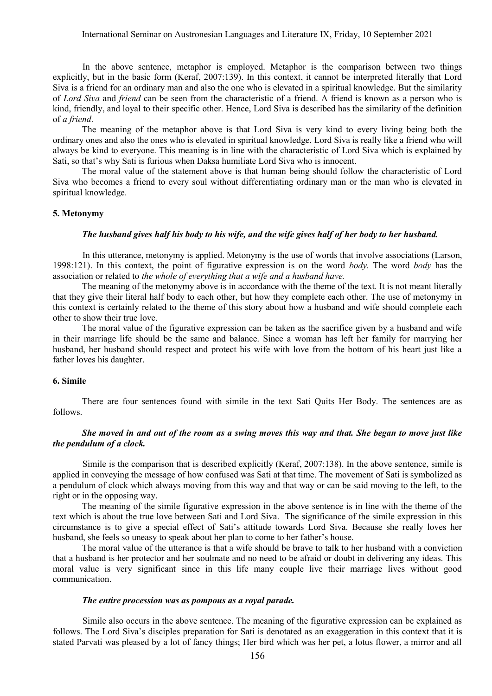In the above sentence, metaphor is employed. Metaphor is the comparison between two things explicitly, but in the basic form (Keraf, 2007:139). In this context, it cannot be interpreted literally that Lord Siva is a friend for an ordinary man and also the one who is elevated in a spiritual knowledge. But the similarity of *Lord Siva* and *friend* can be seen from the characteristic of a friend. A friend is known as a person who is kind, friendly, and loyal to their specific other. Hence, Lord Siva is described has the similarity of the definition of *a friend*.

The meaning of the metaphor above is that Lord Siva is very kind to every living being both the ordinary ones and also the ones who is elevated in spiritual knowledge. Lord Siva is really like a friend who will always be kind to everyone. This meaning is in line with the characteristic of Lord Siva which is explained by Sati, so that's why Sati is furious when Daksa humiliate Lord Siva who is innocent.

The moral value of the statement above is that human being should follow the characteristic of Lord Siva who becomes a friend to every soul without differentiating ordinary man or the man who is elevated in spiritual knowledge.

### **5. Metonymy**

### *The husband gives half his body to his wife, and the wife gives half of her body to her husband.*

In this utterance, metonymy is applied. Metonymy is the use of words that involve associations (Larson, 1998:121). In this context, the point of figurative expression is on the word *body.* The word *body* has the association or related to *the whole of everything that a wife and a husband have.*

The meaning of the metonymy above is in accordance with the theme of the text. It is not meant literally that they give their literal half body to each other, but how they complete each other. The use of metonymy in this context is certainly related to the theme of this story about how a husband and wife should complete each other to show their true love.

The moral value of the figurative expression can be taken as the sacrifice given by a husband and wife in their marriage life should be the same and balance. Since a woman has left her family for marrying her husband, her husband should respect and protect his wife with love from the bottom of his heart just like a father loves his daughter.

# **6. Simile**

There are four sentences found with simile in the text Sati Quits Her Body. The sentences are as follows.

# *She moved in and out of the room as a swing moves this way and that. She began to move just like the pendulum of a clock.*

Simile is the comparison that is described explicitly (Keraf, 2007:138). In the above sentence, simile is applied in conveying the message of how confused was Sati at that time. The movement of Sati is symbolized as a pendulum of clock which always moving from this way and that way or can be said moving to the left, to the right or in the opposing way.

The meaning of the simile figurative expression in the above sentence is in line with the theme of the text which is about the true love between Sati and Lord Siva. The significance of the simile expression in this circumstance is to give a special effect of Sati"s attitude towards Lord Siva. Because she really loves her husband, she feels so uneasy to speak about her plan to come to her father"s house.

The moral value of the utterance is that a wife should be brave to talk to her husband with a conviction that a husband is her protector and her soulmate and no need to be afraid or doubt in delivering any ideas. This moral value is very significant since in this life many couple live their marriage lives without good communication.

#### *The entire procession was as pompous as a royal parade.*

Simile also occurs in the above sentence. The meaning of the figurative expression can be explained as follows. The Lord Siva"s disciples preparation for Sati is denotated as an exaggeration in this context that it is stated Parvati was pleased by a lot of fancy things; Her bird which was her pet, a lotus flower, a mirror and all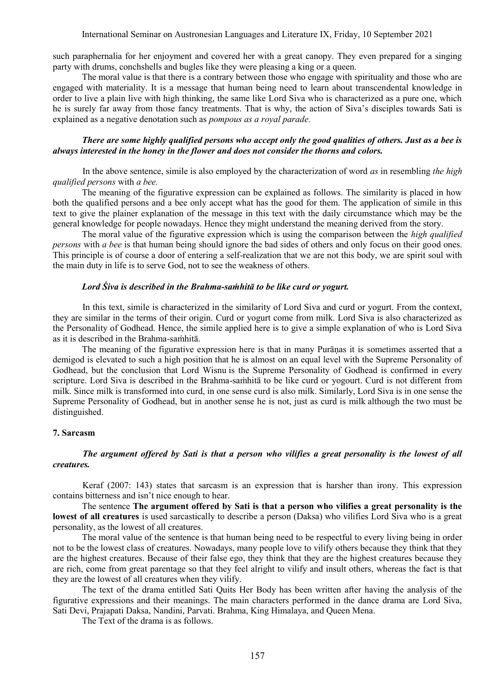# International Seminar on Austronesian Languages and Literature IX, Friday, 10 September 2021

such paraphernalia for her enjoyment and covered her with a great canopy. They even prepared for a singing party with drums, conchshells and bugles like they were pleasing a king or a queen.

The moral value is that there is a contrary between those who engage with spirituality and those who are engaged with materiality. It is a message that human being need to learn about transcendental knowledge in order to live a plain live with high thinking, the same like Lord Siva who is characterized as a pure one, which he is surely far away from those fancy treatments. That is why, the action of Siva"s disciples towards Sati is explained as a negative denotation such as *pompous as a royal parade.* 

# *There are some highly qualified persons who accept only the good qualities of others. Just as a bee is always interested in the honey in the flower and does not consider the thorns and colors.*

In the above sentence, simile is also employed by the characterization of word *as* in resembling *the high qualified persons* with *a bee.*

The meaning of the figurative expression can be explained as follows. The similarity is placed in how both the qualified persons and a bee only accept what has the good for them. The application of simile in this text to give the plainer explanation of the message in this text with the daily circumstance which may be the general knowledge for people nowadays. Hence they might understand the meaning derived from the story.

The moral value of the figurative expression which is using the comparison between the *high qualified persons* with *a bee* is that human being should ignore the bad sides of others and only focus on their good ones. This principle is of course a door of entering a self-realization that we are not this body, we are spirit soul with the main duty in life is to serve God, not to see the weakness of others.

# *Lord Śiva is described in the [Brahma-](https://prabhupadabooks.com/d/brahma)sa[ṁhitā](https://prabhupadabooks.com/d/samhita) to be like curd or yogurt.*

In this text, simile is characterized in the similarity of Lord Siva and curd or yogurt. From the context, they are similar in the terms of their origin. Curd or yogurt come from milk. Lord Siva is also characterized as the Personality of Godhead. Hence, the simile applied here is to give a simple explanation of who is Lord Siva as it is described in the [Brahma-](https://prabhupadabooks.com/d/brahma)sa[ṁhitā](https://prabhupadabooks.com/d/samhita).

The meaning of the figurative expression here is that in many Purāṇas it is sometimes asserted that a demigod is elevated to such a high position that he is almost on an equal level with the Supreme Personality of Godhead, but the conclusion that Lord Wisnu is the Supreme Personality of Godhead is confirmed in every scripture. Lord Siva is described in the Brahma-saṁhitā to be like curd or yogourt. Curd is not different from milk. Since milk is transformed into curd, in one sense curd is also milk. Similarly, Lord Siva is in one sense the Supreme Personality of Godhead, but in another sense he is not, just as curd is milk although the two must be distinguished.

### **7. Sarcasm**

# *The argument offered by Sati is that a person who vilifies a great personality is the lowest of all creatures.*

Keraf (2007: 143) states that sarcasm is an expression that is harsher than irony. This expression contains bitterness and isn"t nice enough to hear.

The sentence **The argument offered by Sati is that a person who vilifies a great personality is the lowest of all creatures** is used sarcastically to describe a person (Daksa) who vilifies Lord Siva who is a great personality, as the lowest of all creatures.

The moral value of the sentence is that human being need to be respectful to every living being in order not to be the lowest class of creatures. Nowadays, many people love to vilify others because they think that they are the highest creatures. Because of their false ego, they think that they are the highest creatures because they are rich, come from great parentage so that they feel alright to vilify and insult others, whereas the fact is that they are the lowest of all creatures when they vilify.

The text of the drama entitled Sati Quits Her Body has been written after having the analysis of the figurative expressions and their meanings. The main characters performed in the dance drama are Lord Siva, Sati Devi, Prajapati Daksa, Nandini, Parvati. Brahma, King Himalaya, and Queen Mena.

The Text of the drama is as follows.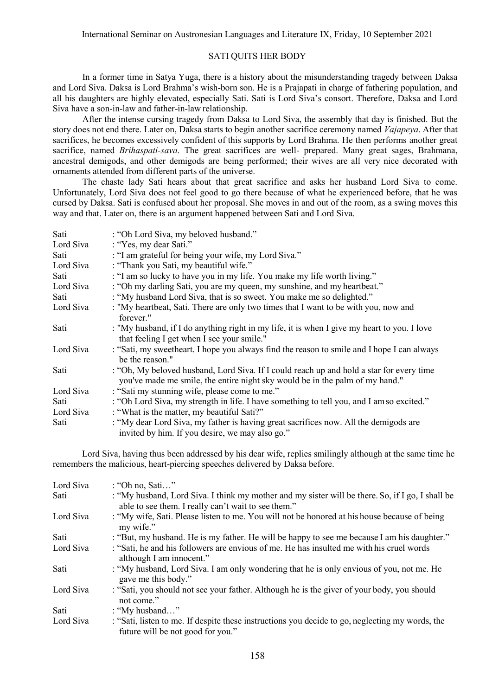# SATI QUITS HER BODY

In a former time in Satya Yuga, there is a history about the misunderstanding tragedy between Daksa and Lord Siva. Daksa is Lord Brahma"s wish-born son. He is a Prajapati in charge of fathering population, and all his daughters are highly elevated, especially Sati. Sati is Lord Siva"s consort. Therefore, Daksa and Lord Siva have a son-in-law and father-in-law relationship.

After the intense cursing tragedy from Daksa to Lord Siva, the assembly that day is finished. But the story does not end there. Later on, Daksa starts to begin another sacrifice ceremony named *Vajapeya*. After that sacrifices, he becomes excessively confident of this supports by Lord Brahma. He then performs another great sacrifice, named *Brihaspati-sava*. The great sacrifices are well- prepared. Many great sages, Brahmana, ancestral demigods, and other demigods are being performed; their wives are all very nice decorated with ornaments attended from different parts of the universe.

The chaste lady Sati hears about that great sacrifice and asks her husband Lord Siva to come. Unfortunately, Lord Siva does not feel good to go there because of what he experienced before, that he was cursed by Daksa. Sati is confused about her proposal. She moves in and out of the room, as a swing moves this way and that. Later on, there is an argument happened between Sati and Lord Siva.

| Sati      | : "Oh Lord Siva, my beloved husband."                                                                                                                                    |
|-----------|--------------------------------------------------------------------------------------------------------------------------------------------------------------------------|
| Lord Siva | : "Yes, my dear Sati."                                                                                                                                                   |
| Sati      | : "I am grateful for being your wife, my Lord Siva."                                                                                                                     |
| Lord Siva | : "Thank you Sati, my beautiful wife."                                                                                                                                   |
| Sati      | : "I am so lucky to have you in my life. You make my life worth living."                                                                                                 |
| Lord Siva | : "Oh my darling Sati, you are my queen, my sunshine, and my heartbeat."                                                                                                 |
| Sati      | : "My husband Lord Siva, that is so sweet. You make me so delighted."                                                                                                    |
| Lord Siva | : "My heartbeat, Sati. There are only two times that I want to be with you, now and                                                                                      |
|           | forever."                                                                                                                                                                |
| Sati      | : "My husband, if I do anything right in my life, it is when I give my heart to you. I love<br>that feeling I get when I see your smile."                                |
| Lord Siva | : "Sati, my sweetheart. I hope you always find the reason to smile and I hope I can always<br>be the reason."                                                            |
| Sati      | : "Oh, My beloved husband, Lord Siva. If I could reach up and hold a star for every time<br>you've made me smile, the entire night sky would be in the palm of my hand." |
| Lord Siva | : "Sati my stunning wife, please come to me."                                                                                                                            |
| Sati      | : "Oh Lord Siva, my strength in life. I have something to tell you, and I am so excited."                                                                                |
| Lord Siva | : "What is the matter, my beautiful Sati?"                                                                                                                               |
| Sati      | : "My dear Lord Siva, my father is having great sacrifices now. All the demigods are<br>invited by him. If you desire, we may also go."                                  |

Lord Siva, having thus been addressed by his dear wife, replies smilingly although at the same time he remembers the malicious, heart-piercing speeches delivered by Daksa before.

| Lord Siva | : "Oh no, Sati"                                                                                                                                         |
|-----------|---------------------------------------------------------------------------------------------------------------------------------------------------------|
| Sati      | : "My husband, Lord Siva. I think my mother and my sister will be there. So, if I go, I shall be<br>able to see them. I really can't wait to see them." |
| Lord Siva | : "My wife, Sati. Please listen to me. You will not be honored at his house because of being<br>my wife."                                               |
| Sati      | : "But, my husband. He is my father. He will be happy to see me because I am his daughter."                                                             |
| Lord Siva | : "Sati, he and his followers are envious of me. He has insulted me with his cruel words<br>although I am innocent."                                    |
| Sati      | : "My husband, Lord Siva. I am only wondering that he is only envious of you, not me. He<br>gave me this body."                                         |
| Lord Siva | : "Sati, you should not see your father. Although he is the giver of your body, you should<br>not come."                                                |
| Sati      | : "My husband"                                                                                                                                          |
| Lord Siva | : "Sati, listen to me. If despite these instructions you decide to go, neglecting my words, the<br>future will be not good for you."                    |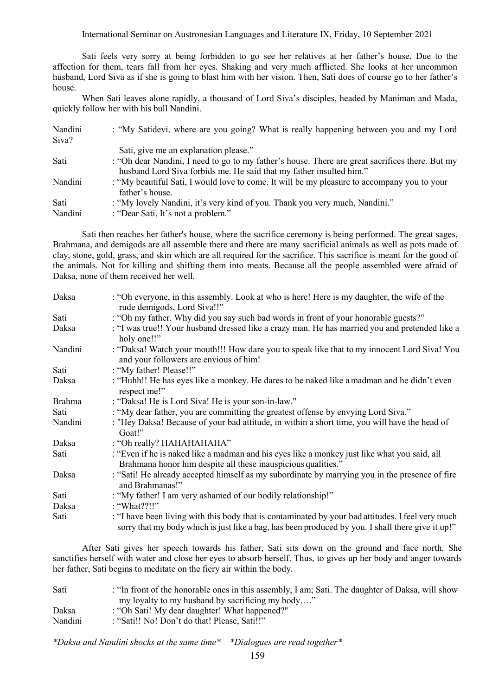# International Seminar on Austronesian Languages and Literature IX, Friday, 10 September 2021

Sati feels very sorry at being forbidden to go see her relatives at her father"s house. Due to the affection for them, tears fall from her eyes. Shaking and very much afflicted. She looks at her uncommon husband, Lord Siva as if she is going to blast him with her vision. Then, Sati does of course go to her father's house.

When Sati leaves alone rapidly, a thousand of Lord Siva"s disciples, headed by Maniman and Mada, quickly follow her with his bull Nandini.

| Nandini<br>Siva? | : "My Satidevi, where are you going? What is really happening between you and my Lord                                                                                  |
|------------------|------------------------------------------------------------------------------------------------------------------------------------------------------------------------|
|                  | Sati, give me an explanation please."                                                                                                                                  |
| Sati             | : "Oh dear Nandini, I need to go to my father's house. There are great sacrifices there. But my<br>husband Lord Siva forbids me. He said that my father insulted him." |
| Nandini          | : "My beautiful Sati, I would love to come. It will be my pleasure to accompany you to your<br>father's house.                                                         |
| Sati             | : "My lovely Nandini, it's very kind of you. Thank you very much, Nandini."                                                                                            |
| Nandini          | : "Dear Sati, It's not a problem."                                                                                                                                     |

Sati then reaches her father's house, where the sacrifice ceremony is being performed. The great sages, Brahmana, and demigods are all assemble there and there are many sacrificial animals as well as pots made of clay, stone, gold, grass, and skin which are all required for the sacrifice. This sacrifice is meant for the good of the animals. Not for killing and shifting them into meats. Because all the people assembled were afraid of Daksa, none of them received her well.

| Daksa         | : "Oh everyone, in this assembly. Look at who is here! Here is my daughter, the wife of the<br>rude demigods, Lord Siva!!"                                                                             |
|---------------|--------------------------------------------------------------------------------------------------------------------------------------------------------------------------------------------------------|
| Sati          | : "Oh my father. Why did you say such bad words in front of your honorable guests?"                                                                                                                    |
| Daksa         | : "I was true!! Your husband dressed like a crazy man. He has married you and pretended like a<br>holy one!!"                                                                                          |
| Nandini       | : "Daksa! Watch your mouth!!! How dare you to speak like that to my innocent Lord Siva! You<br>and your followers are envious of him!                                                                  |
| Sati          | : "My father! Please!!"                                                                                                                                                                                |
| Daksa         | : "Huhh!! He has eyes like a monkey. He dares to be naked like a madman and he didn't even<br>respect me!"                                                                                             |
| <b>Brahma</b> | : "Daksa! He is Lord Siva! He is your son-in-law."                                                                                                                                                     |
| Sati          | ". "My dear father, you are committing the greatest offense by envying Lord Siva."                                                                                                                     |
| Nandini       | : "Hey Daksa! Because of your bad attitude, in within a short time, you will have the head of<br>Goat!"                                                                                                |
| Daksa         | : "Oh really? HAHAHAHAHA"                                                                                                                                                                              |
| Sati          | : "Even if he is naked like a madman and his eyes like a monkey just like what you said, all<br>Brahmana honor him despite all these inauspicious qualities."                                          |
| Daksa         | : "Sati! He already accepted himself as my subordinate by marrying you in the presence of fire<br>and Brahmanas!"                                                                                      |
| Sati          | : "My father! I am very ashamed of our bodily relationship!"                                                                                                                                           |
| Daksa         | : "What??!!"                                                                                                                                                                                           |
| Sati          | : "I have been living with this body that is contaminated by your bad attitudes. I feel very much<br>sorry that my body which is just like a bag, has been produced by you. I shall there give it up!" |

After Sati gives her speech towards his father, Sati sits down on the ground and face north. She sanctifies herself with water and close her eyes to absorb herself. Thus, to gives up her body and anger towards her father, Sati begins to meditate on the fiery air within the body.

| Sati    | : "In front of the honorable ones in this assembly, I am; Sati. The daughter of Daksa, will show |
|---------|--------------------------------------------------------------------------------------------------|
|         | my loyalty to my husband by sacrificing my body"                                                 |
| Daksa   | : "Oh Sati! My dear daughter! What happened?"                                                    |
| Nandini | : "Sati!! No! Don't do that! Please, Sati!!"                                                     |

*\*Daksa and Nandini shocks at the same time\* \*Dialogues are read together\**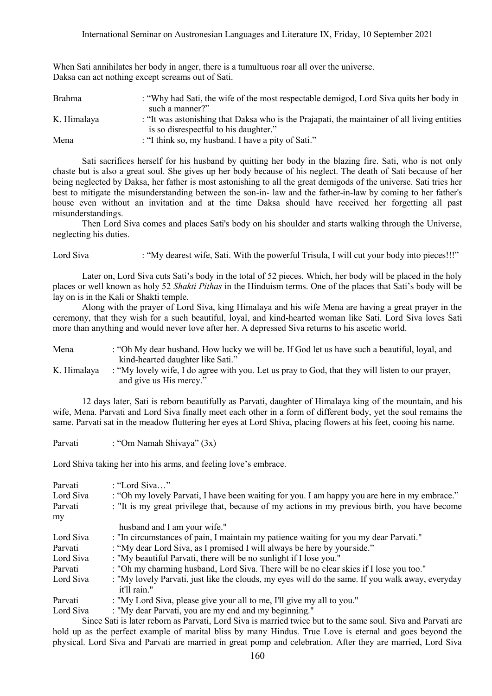| Daksa can act nothing except screams out of Sati. |                                                                                                                 |
|---------------------------------------------------|-----------------------------------------------------------------------------------------------------------------|
| <b>Brahma</b>                                     | : "Why had Sati, the wife of the most respectable demigod, Lord Siva quits her body in                          |
| K. Himalaya                                       | such a manner?"<br>: "It was astonishing that Daksa who is the Prajapati, the maintainer of all living entities |
| Mena                                              | is so disrespectful to his daughter."<br>: "I think so, my husband. I have a pity of Sati."                     |

When Sati annihilates her body in anger, there is a tumultuous roar all over the universe. Daksa can act nothing except screams out of Sati.

Sati sacrifices herself for his husband by quitting her body in the blazing fire. Sati, who is not only chaste but is also a great soul. She gives up her body because of his neglect. The death of Sati because of her being neglected by Daksa, her father is most astonishing to all the great demigods of the universe. Sati tries her best to mitigate the misunderstanding between the son-in- law and the father-in-law by coming to her father's house even without an invitation and at the time Daksa should have received her forgetting all past misunderstandings.

Then Lord Siva comes and places Sati's body on his shoulder and starts walking through the Universe, neglecting his duties.

Lord Siva : "My dearest wife, Sati. With the powerful Trisula, I will cut your body into pieces!!!"

Later on, Lord Siva cuts Sati's body in the total of 52 pieces. Which, her body will be placed in the holy places or well known as holy 52 *Shakti Pithas* in the Hinduism terms. One of the places that Sati"s body will be lay on is in the Kali or Shakti temple.

Along with the prayer of Lord Siva, king Himalaya and his wife Mena are having a great prayer in the ceremony, that they wish for a such beautiful, loyal, and kind-hearted woman like Sati. Lord Siva loves Sati more than anything and would never love after her. A depressed Siva returns to his ascetic world.

| Mena        | : "Oh My dear husband. How lucky we will be. If God let us have such a beautiful, loyal, and     |
|-------------|--------------------------------------------------------------------------------------------------|
|             | kind-hearted daughter like Sati."                                                                |
| K. Himalaya | : "My lovely wife, I do agree with you. Let us pray to God, that they will listen to our prayer, |
|             | and give us His mercy."                                                                          |

12 days later, Sati is reborn beautifully as Parvati, daughter of Himalaya king of the mountain, and his wife, Mena. Parvati and Lord Siva finally meet each other in a form of different body, yet the soul remains the same. Parvati sat in the meadow fluttering her eyes at Lord Shiva, placing flowers at his feet, cooing his name.

Parvati : "Om Namah Shivaya" (3x)

Lord Shiva taking her into his arms, and feeling love's embrace.

| Parvati   | : "Lord Siva"                                                                                                |
|-----------|--------------------------------------------------------------------------------------------------------------|
| Lord Siva | : "Oh my lovely Parvati, I have been waiting for you. I am happy you are here in my embrace."                |
| Parvati   | : "It is my great privilege that, because of my actions in my previous birth, you have become                |
| my        |                                                                                                              |
|           | husband and I am your wife."                                                                                 |
| Lord Siva | : "In circumstances of pain, I maintain my patience waiting for you my dear Parvati."                        |
| Parvati   | : "My dear Lord Siva, as I promised I will always be here by your side."                                     |
| Lord Siva | : "My beautiful Parvati, there will be no sunlight if I lose you."                                           |
| Parvati   | : "Oh my charming husband, Lord Siva. There will be no clear skies if I lose you too."                       |
| Lord Siva | : "My lovely Parvati, just like the clouds, my eyes will do the same. If you walk away, everyday             |
|           | it'll rain."                                                                                                 |
| Parvati   | : "My Lord Siva, please give your all to me, I'll give my all to you."                                       |
| Lord Siva | : "My dear Parvati, you are my end and my beginning."                                                        |
|           | Sings Seti is later report on Borgeti, Lard Siye is married twice but to the same soul. Siye and Derveti are |

Since Sati is later reborn as Parvati, Lord Siva is married twice but to the same soul. Siva and Parvati are hold up as the perfect example of marital bliss by many Hindus. True Love is eternal and goes beyond the physical. Lord Siva and Parvati are married in great pomp and celebration. After they are married, Lord Siva